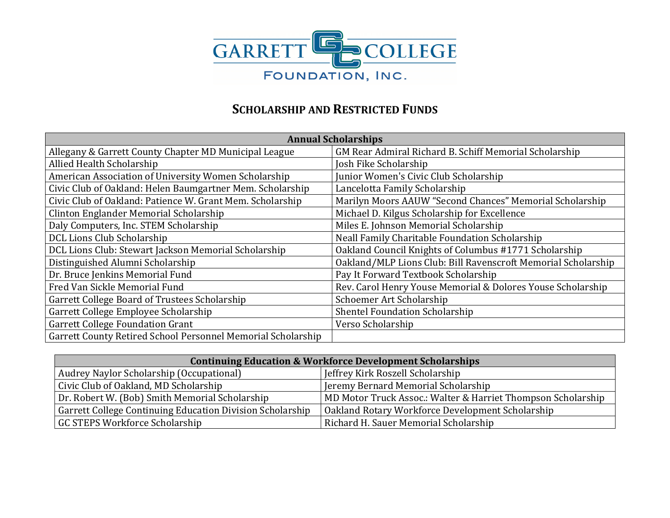

## **SCHOLARSHIP AND RESTRICTED FUNDS**

| <b>Annual Scholarships</b>                                   |                                                               |  |
|--------------------------------------------------------------|---------------------------------------------------------------|--|
| Allegany & Garrett County Chapter MD Municipal League        | GM Rear Admiral Richard B. Schiff Memorial Scholarship        |  |
| Allied Health Scholarship                                    | Josh Fike Scholarship                                         |  |
| American Association of University Women Scholarship         | Junior Women's Civic Club Scholarship                         |  |
| Civic Club of Oakland: Helen Baumgartner Mem. Scholarship    | Lancelotta Family Scholarship                                 |  |
| Civic Club of Oakland: Patience W. Grant Mem. Scholarship    | Marilyn Moors AAUW "Second Chances" Memorial Scholarship      |  |
| Clinton Englander Memorial Scholarship                       | Michael D. Kilgus Scholarship for Excellence                  |  |
| Daly Computers, Inc. STEM Scholarship                        | Miles E. Johnson Memorial Scholarship                         |  |
| DCL Lions Club Scholarship                                   | Neall Family Charitable Foundation Scholarship                |  |
| DCL Lions Club: Stewart Jackson Memorial Scholarship         | Oakland Council Knights of Columbus #1771 Scholarship         |  |
| Distinguished Alumni Scholarship                             | Oakland/MLP Lions Club: Bill Ravenscroft Memorial Scholarship |  |
| Dr. Bruce Jenkins Memorial Fund                              | Pay It Forward Textbook Scholarship                           |  |
| Fred Van Sickle Memorial Fund                                | Rev. Carol Henry Youse Memorial & Dolores Youse Scholarship   |  |
| Garrett College Board of Trustees Scholarship                | Schoemer Art Scholarship                                      |  |
| Garrett College Employee Scholarship                         | <b>Shentel Foundation Scholarship</b>                         |  |
| <b>Garrett College Foundation Grant</b>                      | Verso Scholarship                                             |  |
| Garrett County Retired School Personnel Memorial Scholarship |                                                               |  |

| <b>Continuing Education &amp; Workforce Development Scholarships</b> |                                                              |  |
|----------------------------------------------------------------------|--------------------------------------------------------------|--|
| Audrey Naylor Scholarship (Occupational)                             | Jeffrey Kirk Roszell Scholarship                             |  |
| Civic Club of Oakland, MD Scholarship                                | Jeremy Bernard Memorial Scholarship                          |  |
| Dr. Robert W. (Bob) Smith Memorial Scholarship                       | MD Motor Truck Assoc.: Walter & Harriet Thompson Scholarship |  |
| Garrett College Continuing Education Division Scholarship            | Oakland Rotary Workforce Development Scholarship             |  |
| <b>GC STEPS Workforce Scholarship</b>                                | Richard H. Sauer Memorial Scholarship                        |  |